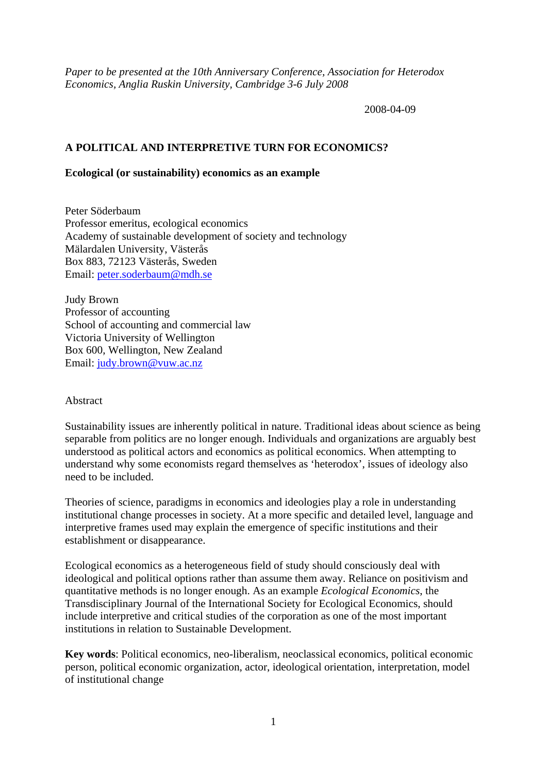*Paper to be presented at the 10th Anniversary Conference, Association for Heterodox Economics, Anglia Ruskin University, Cambridge 3-6 July 2008* 

2008-04-09

# **A POLITICAL AND INTERPRETIVE TURN FOR ECONOMICS?**

### **Ecological (or sustainability) economics as an example**

Peter Söderbaum Professor emeritus, ecological economics Academy of sustainable development of society and technology Mälardalen University, Västerås Box 883, 72123 Västerås, Sweden Email: [peter.soderbaum@mdh.se](mailto:peter.soderbaum@mdh.se)

Judy Brown Professor of accounting School of accounting and commercial law Victoria University of Wellington Box 600, Wellington, New Zealand Email: [judy.brown@vuw.ac.nz](mailto:judy.brown@vuw.ac.nz)

### Abstract

Sustainability issues are inherently political in nature. Traditional ideas about science as being separable from politics are no longer enough. Individuals and organizations are arguably best understood as political actors and economics as political economics. When attempting to understand why some economists regard themselves as 'heterodox', issues of ideology also need to be included.

Theories of science, paradigms in economics and ideologies play a role in understanding institutional change processes in society. At a more specific and detailed level, language and interpretive frames used may explain the emergence of specific institutions and their establishment or disappearance.

Ecological economics as a heterogeneous field of study should consciously deal with ideological and political options rather than assume them away. Reliance on positivism and quantitative methods is no longer enough. As an example *Ecological Economics*, the Transdisciplinary Journal of the International Society for Ecological Economics, should include interpretive and critical studies of the corporation as one of the most important institutions in relation to Sustainable Development.

**Key words**: Political economics, neo-liberalism, neoclassical economics, political economic person, political economic organization, actor, ideological orientation, interpretation, model of institutional change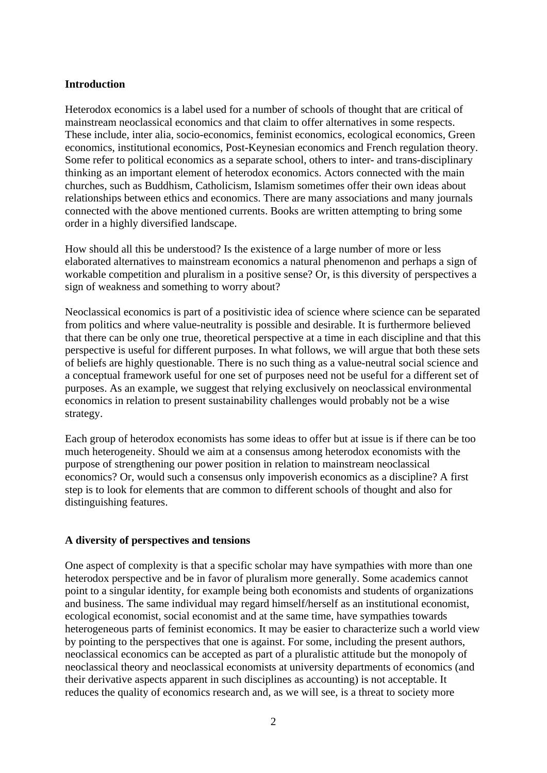## **Introduction**

Heterodox economics is a label used for a number of schools of thought that are critical of mainstream neoclassical economics and that claim to offer alternatives in some respects. These include, inter alia, socio-economics, feminist economics, ecological economics, Green economics, institutional economics, Post-Keynesian economics and French regulation theory. Some refer to political economics as a separate school, others to inter- and trans-disciplinary thinking as an important element of heterodox economics. Actors connected with the main churches, such as Buddhism, Catholicism, Islamism sometimes offer their own ideas about relationships between ethics and economics. There are many associations and many journals connected with the above mentioned currents. Books are written attempting to bring some order in a highly diversified landscape.

How should all this be understood? Is the existence of a large number of more or less elaborated alternatives to mainstream economics a natural phenomenon and perhaps a sign of workable competition and pluralism in a positive sense? Or, is this diversity of perspectives a sign of weakness and something to worry about?

Neoclassical economics is part of a positivistic idea of science where science can be separated from politics and where value-neutrality is possible and desirable. It is furthermore believed that there can be only one true, theoretical perspective at a time in each discipline and that this perspective is useful for different purposes. In what follows, we will argue that both these sets of beliefs are highly questionable. There is no such thing as a value-neutral social science and a conceptual framework useful for one set of purposes need not be useful for a different set of purposes. As an example, we suggest that relying exclusively on neoclassical environmental economics in relation to present sustainability challenges would probably not be a wise strategy.

Each group of heterodox economists has some ideas to offer but at issue is if there can be too much heterogeneity. Should we aim at a consensus among heterodox economists with the purpose of strengthening our power position in relation to mainstream neoclassical economics? Or, would such a consensus only impoverish economics as a discipline? A first step is to look for elements that are common to different schools of thought and also for distinguishing features.

### **A diversity of perspectives and tensions**

One aspect of complexity is that a specific scholar may have sympathies with more than one heterodox perspective and be in favor of pluralism more generally. Some academics cannot point to a singular identity, for example being both economists and students of organizations and business. The same individual may regard himself/herself as an institutional economist, ecological economist, social economist and at the same time, have sympathies towards heterogeneous parts of feminist economics. It may be easier to characterize such a world view by pointing to the perspectives that one is against. For some, including the present authors, neoclassical economics can be accepted as part of a pluralistic attitude but the monopoly of neoclassical theory and neoclassical economists at university departments of economics (and their derivative aspects apparent in such disciplines as accounting) is not acceptable. It reduces the quality of economics research and, as we will see, is a threat to society more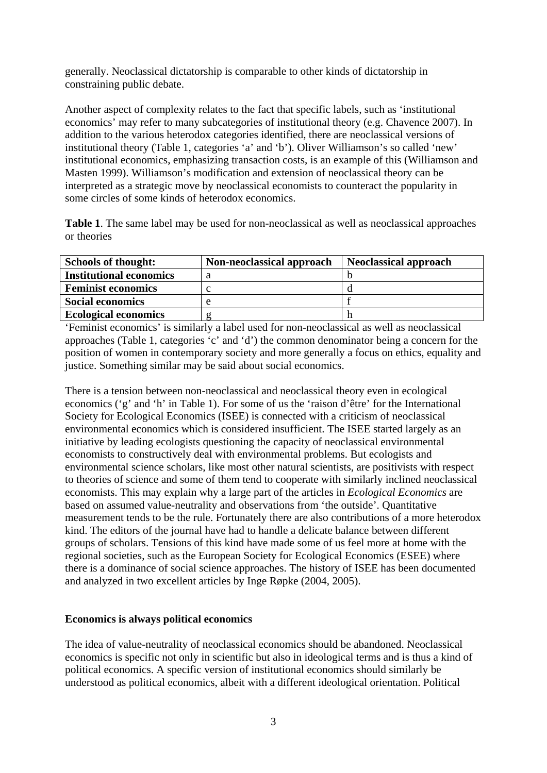generally. Neoclassical dictatorship is comparable to other kinds of dictatorship in constraining public debate.

Another aspect of complexity relates to the fact that specific labels, such as 'institutional economics' may refer to many subcategories of institutional theory (e.g. Chavence 2007). In addition to the various heterodox categories identified, there are neoclassical versions of institutional theory (Table 1, categories 'a' and 'b'). Oliver Williamson's so called 'new' institutional economics, emphasizing transaction costs, is an example of this (Williamson and Masten 1999). Williamson's modification and extension of neoclassical theory can be interpreted as a strategic move by neoclassical economists to counteract the popularity in some circles of some kinds of heterodox economics.

**Table 1**. The same label may be used for non-neoclassical as well as neoclassical approaches or theories

| <b>Schools of thought:</b>     | Non-neoclassical approach | <b>Neoclassical approach</b> |
|--------------------------------|---------------------------|------------------------------|
| <b>Institutional economics</b> |                           |                              |
| <b>Feminist economics</b>      |                           |                              |
| <b>Social economics</b>        |                           |                              |
| <b>Ecological economics</b>    |                           |                              |

'Feminist economics' is similarly a label used for non-neoclassical as well as neoclassical approaches (Table 1, categories 'c' and 'd') the common denominator being a concern for the position of women in contemporary society and more generally a focus on ethics, equality and justice. Something similar may be said about social economics.

There is a tension between non-neoclassical and neoclassical theory even in ecological economics ('g' and 'h' in Table 1). For some of us the 'raison d'être' for the International Society for Ecological Economics (ISEE) is connected with a criticism of neoclassical environmental economics which is considered insufficient. The ISEE started largely as an initiative by leading ecologists questioning the capacity of neoclassical environmental economists to constructively deal with environmental problems. But ecologists and environmental science scholars, like most other natural scientists, are positivists with respect to theories of science and some of them tend to cooperate with similarly inclined neoclassical economists. This may explain why a large part of the articles in *Ecological Economics* are based on assumed value-neutrality and observations from 'the outside'. Quantitative measurement tends to be the rule. Fortunately there are also contributions of a more heterodox kind. The editors of the journal have had to handle a delicate balance between different groups of scholars. Tensions of this kind have made some of us feel more at home with the regional societies, such as the European Society for Ecological Economics (ESEE) where there is a dominance of social science approaches. The history of ISEE has been documented and analyzed in two excellent articles by Inge Røpke (2004, 2005).

### **Economics is always political economics**

The idea of value-neutrality of neoclassical economics should be abandoned. Neoclassical economics is specific not only in scientific but also in ideological terms and is thus a kind of political economics. A specific version of institutional economics should similarly be understood as political economics, albeit with a different ideological orientation. Political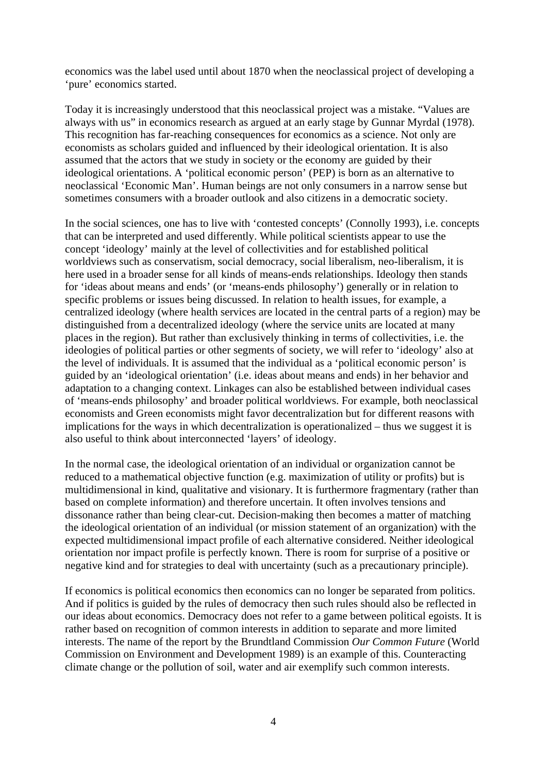economics was the label used until about 1870 when the neoclassical project of developing a 'pure' economics started.

Today it is increasingly understood that this neoclassical project was a mistake. "Values are always with us" in economics research as argued at an early stage by Gunnar Myrdal (1978). This recognition has far-reaching consequences for economics as a science. Not only are economists as scholars guided and influenced by their ideological orientation. It is also assumed that the actors that we study in society or the economy are guided by their ideological orientations. A 'political economic person' (PEP) is born as an alternative to neoclassical 'Economic Man'. Human beings are not only consumers in a narrow sense but sometimes consumers with a broader outlook and also citizens in a democratic society.

In the social sciences, one has to live with 'contested concepts' (Connolly 1993), i.e. concepts that can be interpreted and used differently. While political scientists appear to use the concept 'ideology' mainly at the level of collectivities and for established political worldviews such as conservatism, social democracy, social liberalism, neo-liberalism, it is here used in a broader sense for all kinds of means-ends relationships. Ideology then stands for 'ideas about means and ends' (or 'means-ends philosophy') generally or in relation to specific problems or issues being discussed. In relation to health issues, for example, a centralized ideology (where health services are located in the central parts of a region) may be distinguished from a decentralized ideology (where the service units are located at many places in the region). But rather than exclusively thinking in terms of collectivities, i.e. the ideologies of political parties or other segments of society, we will refer to 'ideology' also at the level of individuals. It is assumed that the individual as a 'political economic person' is guided by an 'ideological orientation' (i.e. ideas about means and ends) in her behavior and adaptation to a changing context. Linkages can also be established between individual cases of 'means-ends philosophy' and broader political worldviews. For example, both neoclassical economists and Green economists might favor decentralization but for different reasons with implications for the ways in which decentralization is operationalized – thus we suggest it is also useful to think about interconnected 'layers' of ideology.

In the normal case, the ideological orientation of an individual or organization cannot be reduced to a mathematical objective function (e.g. maximization of utility or profits) but is multidimensional in kind, qualitative and visionary. It is furthermore fragmentary (rather than based on complete information) and therefore uncertain. It often involves tensions and dissonance rather than being clear-cut. Decision-making then becomes a matter of matching the ideological orientation of an individual (or mission statement of an organization) with the expected multidimensional impact profile of each alternative considered. Neither ideological orientation nor impact profile is perfectly known. There is room for surprise of a positive or negative kind and for strategies to deal with uncertainty (such as a precautionary principle).

If economics is political economics then economics can no longer be separated from politics. And if politics is guided by the rules of democracy then such rules should also be reflected in our ideas about economics. Democracy does not refer to a game between political egoists. It is rather based on recognition of common interests in addition to separate and more limited interests. The name of the report by the Brundtland Commission *Our Common Future* (World Commission on Environment and Development 1989) is an example of this. Counteracting climate change or the pollution of soil, water and air exemplify such common interests.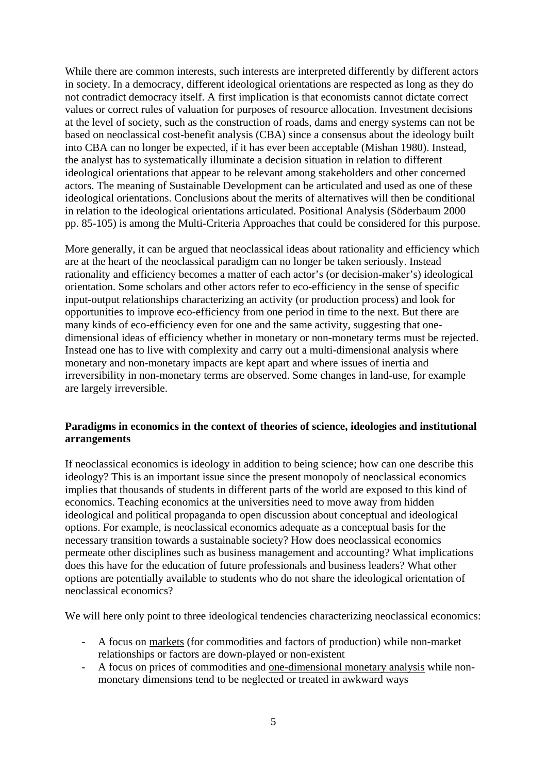While there are common interests, such interests are interpreted differently by different actors in society. In a democracy, different ideological orientations are respected as long as they do not contradict democracy itself. A first implication is that economists cannot dictate correct values or correct rules of valuation for purposes of resource allocation. Investment decisions at the level of society, such as the construction of roads, dams and energy systems can not be based on neoclassical cost-benefit analysis (CBA) since a consensus about the ideology built into CBA can no longer be expected, if it has ever been acceptable (Mishan 1980). Instead, the analyst has to systematically illuminate a decision situation in relation to different ideological orientations that appear to be relevant among stakeholders and other concerned actors. The meaning of Sustainable Development can be articulated and used as one of these ideological orientations. Conclusions about the merits of alternatives will then be conditional in relation to the ideological orientations articulated. Positional Analysis (Söderbaum 2000 pp. 85-105) is among the Multi-Criteria Approaches that could be considered for this purpose.

More generally, it can be argued that neoclassical ideas about rationality and efficiency which are at the heart of the neoclassical paradigm can no longer be taken seriously. Instead rationality and efficiency becomes a matter of each actor's (or decision-maker's) ideological orientation. Some scholars and other actors refer to eco-efficiency in the sense of specific input-output relationships characterizing an activity (or production process) and look for opportunities to improve eco-efficiency from one period in time to the next. But there are many kinds of eco-efficiency even for one and the same activity, suggesting that onedimensional ideas of efficiency whether in monetary or non-monetary terms must be rejected. Instead one has to live with complexity and carry out a multi-dimensional analysis where monetary and non-monetary impacts are kept apart and where issues of inertia and irreversibility in non-monetary terms are observed. Some changes in land-use, for example are largely irreversible.

## **Paradigms in economics in the context of theories of science, ideologies and institutional arrangements**

If neoclassical economics is ideology in addition to being science; how can one describe this ideology? This is an important issue since the present monopoly of neoclassical economics implies that thousands of students in different parts of the world are exposed to this kind of economics. Teaching economics at the universities need to move away from hidden ideological and political propaganda to open discussion about conceptual and ideological options. For example, is neoclassical economics adequate as a conceptual basis for the necessary transition towards a sustainable society? How does neoclassical economics permeate other disciplines such as business management and accounting? What implications does this have for the education of future professionals and business leaders? What other options are potentially available to students who do not share the ideological orientation of neoclassical economics?

We will here only point to three ideological tendencies characterizing neoclassical economics:

- A focus on markets (for commodities and factors of production) while non-market relationships or factors are down-played or non-existent
- A focus on prices of commodities and one-dimensional monetary analysis while nonmonetary dimensions tend to be neglected or treated in awkward ways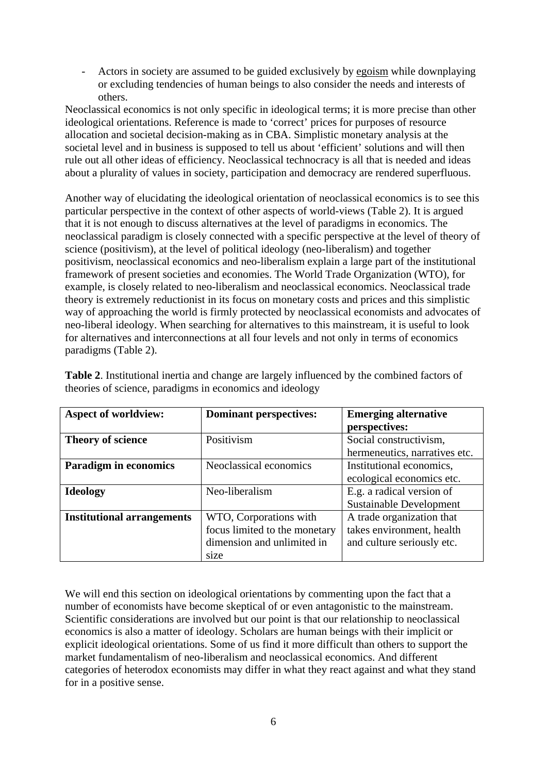- Actors in society are assumed to be guided exclusively by egoism while downplaying or excluding tendencies of human beings to also consider the needs and interests of others.

Neoclassical economics is not only specific in ideological terms; it is more precise than other ideological orientations. Reference is made to 'correct' prices for purposes of resource allocation and societal decision-making as in CBA. Simplistic monetary analysis at the societal level and in business is supposed to tell us about 'efficient' solutions and will then rule out all other ideas of efficiency. Neoclassical technocracy is all that is needed and ideas about a plurality of values in society, participation and democracy are rendered superfluous.

Another way of elucidating the ideological orientation of neoclassical economics is to see this particular perspective in the context of other aspects of world-views (Table 2). It is argued that it is not enough to discuss alternatives at the level of paradigms in economics. The neoclassical paradigm is closely connected with a specific perspective at the level of theory of science (positivism), at the level of political ideology (neo-liberalism) and together positivism, neoclassical economics and neo-liberalism explain a large part of the institutional framework of present societies and economies. The World Trade Organization (WTO), for example, is closely related to neo-liberalism and neoclassical economics. Neoclassical trade theory is extremely reductionist in its focus on monetary costs and prices and this simplistic way of approaching the world is firmly protected by neoclassical economists and advocates of neo-liberal ideology. When searching for alternatives to this mainstream, it is useful to look for alternatives and interconnections at all four levels and not only in terms of economics paradigms (Table 2).

| <b>Aspect of worldview:</b>       | <b>Dominant perspectives:</b> | <b>Emerging alternative</b>    |
|-----------------------------------|-------------------------------|--------------------------------|
|                                   |                               | perspectives:                  |
| Theory of science                 | Positivism                    | Social constructivism,         |
|                                   |                               | hermeneutics, narratives etc.  |
| <b>Paradigm in economics</b>      | Neoclassical economics        | Institutional economics,       |
|                                   |                               | ecological economics etc.      |
| <b>Ideology</b>                   | Neo-liberalism                | E.g. a radical version of      |
|                                   |                               | <b>Sustainable Development</b> |
| <b>Institutional arrangements</b> | WTO, Corporations with        | A trade organization that      |
|                                   | focus limited to the monetary | takes environment, health      |
|                                   | dimension and unlimited in    | and culture seriously etc.     |
|                                   | size                          |                                |

**Table 2**. Institutional inertia and change are largely influenced by the combined factors of theories of science, paradigms in economics and ideology

We will end this section on ideological orientations by commenting upon the fact that a number of economists have become skeptical of or even antagonistic to the mainstream. Scientific considerations are involved but our point is that our relationship to neoclassical economics is also a matter of ideology. Scholars are human beings with their implicit or explicit ideological orientations. Some of us find it more difficult than others to support the market fundamentalism of neo-liberalism and neoclassical economics. And different categories of heterodox economists may differ in what they react against and what they stand for in a positive sense.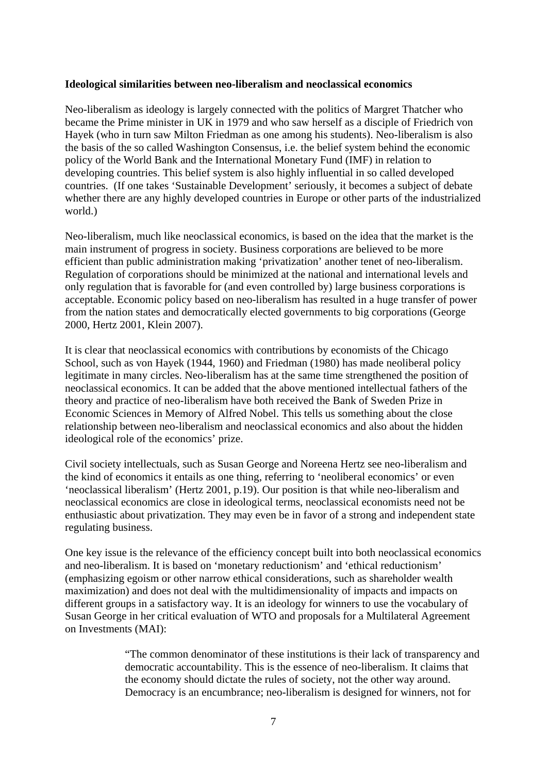### **Ideological similarities between neo-liberalism and neoclassical economics**

Neo-liberalism as ideology is largely connected with the politics of Margret Thatcher who became the Prime minister in UK in 1979 and who saw herself as a disciple of Friedrich von Hayek (who in turn saw Milton Friedman as one among his students). Neo-liberalism is also the basis of the so called Washington Consensus, i.e. the belief system behind the economic policy of the World Bank and the International Monetary Fund (IMF) in relation to developing countries. This belief system is also highly influential in so called developed countries. (If one takes 'Sustainable Development' seriously, it becomes a subject of debate whether there are any highly developed countries in Europe or other parts of the industrialized world.)

Neo-liberalism, much like neoclassical economics, is based on the idea that the market is the main instrument of progress in society. Business corporations are believed to be more efficient than public administration making 'privatization' another tenet of neo-liberalism. Regulation of corporations should be minimized at the national and international levels and only regulation that is favorable for (and even controlled by) large business corporations is acceptable. Economic policy based on neo-liberalism has resulted in a huge transfer of power from the nation states and democratically elected governments to big corporations (George 2000, Hertz 2001, Klein 2007).

It is clear that neoclassical economics with contributions by economists of the Chicago School, such as von Hayek (1944, 1960) and Friedman (1980) has made neoliberal policy legitimate in many circles. Neo-liberalism has at the same time strengthened the position of neoclassical economics. It can be added that the above mentioned intellectual fathers of the theory and practice of neo-liberalism have both received the Bank of Sweden Prize in Economic Sciences in Memory of Alfred Nobel. This tells us something about the close relationship between neo-liberalism and neoclassical economics and also about the hidden ideological role of the economics' prize.

Civil society intellectuals, such as Susan George and Noreena Hertz see neo-liberalism and the kind of economics it entails as one thing, referring to 'neoliberal economics' or even 'neoclassical liberalism' (Hertz 2001, p.19). Our position is that while neo-liberalism and neoclassical economics are close in ideological terms, neoclassical economists need not be enthusiastic about privatization. They may even be in favor of a strong and independent state regulating business.

One key issue is the relevance of the efficiency concept built into both neoclassical economics and neo-liberalism. It is based on 'monetary reductionism' and 'ethical reductionism' (emphasizing egoism or other narrow ethical considerations, such as shareholder wealth maximization) and does not deal with the multidimensionality of impacts and impacts on different groups in a satisfactory way. It is an ideology for winners to use the vocabulary of Susan George in her critical evaluation of WTO and proposals for a Multilateral Agreement on Investments (MAI):

> "The common denominator of these institutions is their lack of transparency and democratic accountability. This is the essence of neo-liberalism. It claims that the economy should dictate the rules of society, not the other way around. Democracy is an encumbrance; neo-liberalism is designed for winners, not for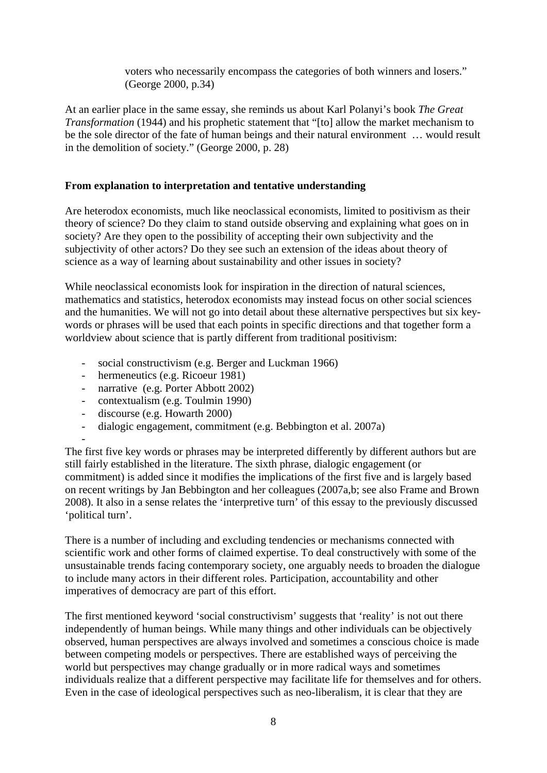voters who necessarily encompass the categories of both winners and losers." (George 2000, p.34)

At an earlier place in the same essay, she reminds us about Karl Polanyi's book *The Great Transformation* (1944) and his prophetic statement that "[to] allow the market mechanism to be the sole director of the fate of human beings and their natural environment … would result in the demolition of society." (George 2000, p. 28)

## **From explanation to interpretation and tentative understanding**

Are heterodox economists, much like neoclassical economists, limited to positivism as their theory of science? Do they claim to stand outside observing and explaining what goes on in society? Are they open to the possibility of accepting their own subjectivity and the subjectivity of other actors? Do they see such an extension of the ideas about theory of science as a way of learning about sustainability and other issues in society?

While neoclassical economists look for inspiration in the direction of natural sciences, mathematics and statistics, heterodox economists may instead focus on other social sciences and the humanities. We will not go into detail about these alternative perspectives but six keywords or phrases will be used that each points in specific directions and that together form a worldview about science that is partly different from traditional positivism:

- social constructivism (e.g. Berger and Luckman 1966)
- hermeneutics (e.g. Ricoeur 1981)
- narrative (e.g. Porter Abbott 2002)
- contextualism (e.g. Toulmin 1990)
- discourse (e.g. Howarth 2000)

-

- dialogic engagement, commitment (e.g. Bebbington et al. 2007a)

The first five key words or phrases may be interpreted differently by different authors but are still fairly established in the literature. The sixth phrase, dialogic engagement (or commitment) is added since it modifies the implications of the first five and is largely based on recent writings by Jan Bebbington and her colleagues (2007a,b; see also Frame and Brown 2008). It also in a sense relates the 'interpretive turn' of this essay to the previously discussed 'political turn'.

There is a number of including and excluding tendencies or mechanisms connected with scientific work and other forms of claimed expertise. To deal constructively with some of the unsustainable trends facing contemporary society, one arguably needs to broaden the dialogue to include many actors in their different roles. Participation, accountability and other imperatives of democracy are part of this effort.

The first mentioned keyword 'social constructivism' suggests that 'reality' is not out there independently of human beings. While many things and other individuals can be objectively observed, human perspectives are always involved and sometimes a conscious choice is made between competing models or perspectives. There are established ways of perceiving the world but perspectives may change gradually or in more radical ways and sometimes individuals realize that a different perspective may facilitate life for themselves and for others. Even in the case of ideological perspectives such as neo-liberalism, it is clear that they are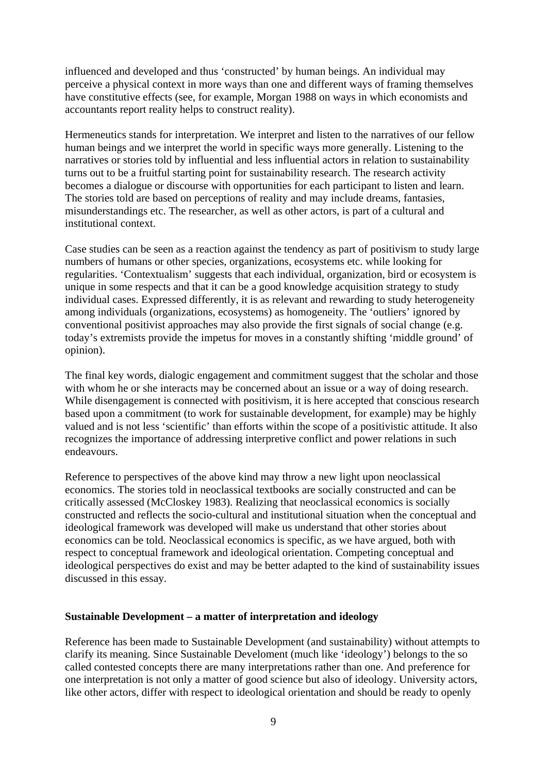influenced and developed and thus 'constructed' by human beings. An individual may perceive a physical context in more ways than one and different ways of framing themselves have constitutive effects (see, for example, Morgan 1988 on ways in which economists and accountants report reality helps to construct reality).

Hermeneutics stands for interpretation. We interpret and listen to the narratives of our fellow human beings and we interpret the world in specific ways more generally. Listening to the narratives or stories told by influential and less influential actors in relation to sustainability turns out to be a fruitful starting point for sustainability research. The research activity becomes a dialogue or discourse with opportunities for each participant to listen and learn. The stories told are based on perceptions of reality and may include dreams, fantasies, misunderstandings etc. The researcher, as well as other actors, is part of a cultural and institutional context.

Case studies can be seen as a reaction against the tendency as part of positivism to study large numbers of humans or other species, organizations, ecosystems etc. while looking for regularities. 'Contextualism' suggests that each individual, organization, bird or ecosystem is unique in some respects and that it can be a good knowledge acquisition strategy to study individual cases. Expressed differently, it is as relevant and rewarding to study heterogeneity among individuals (organizations, ecosystems) as homogeneity. The 'outliers' ignored by conventional positivist approaches may also provide the first signals of social change (e.g. today's extremists provide the impetus for moves in a constantly shifting 'middle ground' of opinion).

The final key words, dialogic engagement and commitment suggest that the scholar and those with whom he or she interacts may be concerned about an issue or a way of doing research. While disengagement is connected with positivism, it is here accepted that conscious research based upon a commitment (to work for sustainable development, for example) may be highly valued and is not less 'scientific' than efforts within the scope of a positivistic attitude. It also recognizes the importance of addressing interpretive conflict and power relations in such endeavours.

Reference to perspectives of the above kind may throw a new light upon neoclassical economics. The stories told in neoclassical textbooks are socially constructed and can be critically assessed (McCloskey 1983). Realizing that neoclassical economics is socially constructed and reflects the socio-cultural and institutional situation when the conceptual and ideological framework was developed will make us understand that other stories about economics can be told. Neoclassical economics is specific, as we have argued, both with respect to conceptual framework and ideological orientation. Competing conceptual and ideological perspectives do exist and may be better adapted to the kind of sustainability issues discussed in this essay.

### **Sustainable Development – a matter of interpretation and ideology**

Reference has been made to Sustainable Development (and sustainability) without attempts to clarify its meaning. Since Sustainable Develoment (much like 'ideology') belongs to the so called contested concepts there are many interpretations rather than one. And preference for one interpretation is not only a matter of good science but also of ideology. University actors, like other actors, differ with respect to ideological orientation and should be ready to openly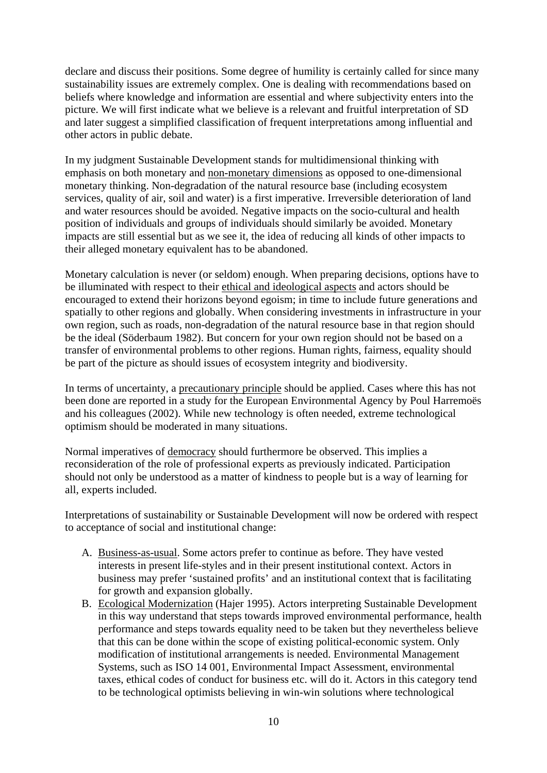declare and discuss their positions. Some degree of humility is certainly called for since many sustainability issues are extremely complex. One is dealing with recommendations based on beliefs where knowledge and information are essential and where subjectivity enters into the picture. We will first indicate what we believe is a relevant and fruitful interpretation of SD and later suggest a simplified classification of frequent interpretations among influential and other actors in public debate.

In my judgment Sustainable Development stands for multidimensional thinking with emphasis on both monetary and non-monetary dimensions as opposed to one-dimensional monetary thinking. Non-degradation of the natural resource base (including ecosystem services, quality of air, soil and water) is a first imperative. Irreversible deterioration of land and water resources should be avoided. Negative impacts on the socio-cultural and health position of individuals and groups of individuals should similarly be avoided. Monetary impacts are still essential but as we see it, the idea of reducing all kinds of other impacts to their alleged monetary equivalent has to be abandoned.

Monetary calculation is never (or seldom) enough. When preparing decisions, options have to be illuminated with respect to their ethical and ideological aspects and actors should be encouraged to extend their horizons beyond egoism; in time to include future generations and spatially to other regions and globally. When considering investments in infrastructure in your own region, such as roads, non-degradation of the natural resource base in that region should be the ideal (Söderbaum 1982). But concern for your own region should not be based on a transfer of environmental problems to other regions. Human rights, fairness, equality should be part of the picture as should issues of ecosystem integrity and biodiversity.

In terms of uncertainty, a precautionary principle should be applied. Cases where this has not been done are reported in a study for the European Environmental Agency by Poul Harremoës and his colleagues (2002). While new technology is often needed, extreme technological optimism should be moderated in many situations.

Normal imperatives of democracy should furthermore be observed. This implies a reconsideration of the role of professional experts as previously indicated. Participation should not only be understood as a matter of kindness to people but is a way of learning for all, experts included.

Interpretations of sustainability or Sustainable Development will now be ordered with respect to acceptance of social and institutional change:

- A. Business-as-usual. Some actors prefer to continue as before. They have vested interests in present life-styles and in their present institutional context. Actors in business may prefer 'sustained profits' and an institutional context that is facilitating for growth and expansion globally.
- B. Ecological Modernization (Hajer 1995). Actors interpreting Sustainable Development in this way understand that steps towards improved environmental performance, health performance and steps towards equality need to be taken but they nevertheless believe that this can be done within the scope of existing political-economic system. Only modification of institutional arrangements is needed. Environmental Management Systems, such as ISO 14 001, Environmental Impact Assessment, environmental taxes, ethical codes of conduct for business etc. will do it. Actors in this category tend to be technological optimists believing in win-win solutions where technological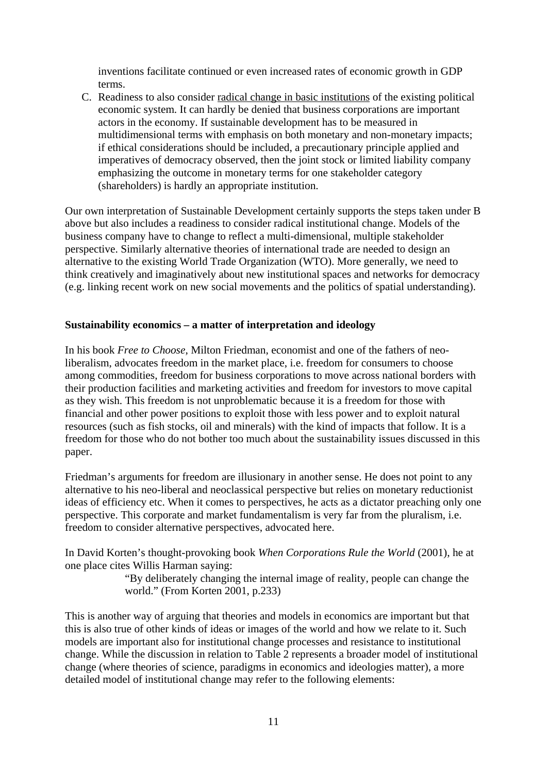inventions facilitate continued or even increased rates of economic growth in GDP terms.

C. Readiness to also consider radical change in basic institutions of the existing political economic system. It can hardly be denied that business corporations are important actors in the economy. If sustainable development has to be measured in multidimensional terms with emphasis on both monetary and non-monetary impacts; if ethical considerations should be included, a precautionary principle applied and imperatives of democracy observed, then the joint stock or limited liability company emphasizing the outcome in monetary terms for one stakeholder category (shareholders) is hardly an appropriate institution.

Our own interpretation of Sustainable Development certainly supports the steps taken under B above but also includes a readiness to consider radical institutional change. Models of the business company have to change to reflect a multi-dimensional, multiple stakeholder perspective. Similarly alternative theories of international trade are needed to design an alternative to the existing World Trade Organization (WTO). More generally, we need to think creatively and imaginatively about new institutional spaces and networks for democracy (e.g. linking recent work on new social movements and the politics of spatial understanding).

## **Sustainability economics – a matter of interpretation and ideology**

In his book *Free to Choose*, Milton Friedman, economist and one of the fathers of neoliberalism, advocates freedom in the market place, i.e. freedom for consumers to choose among commodities, freedom for business corporations to move across national borders with their production facilities and marketing activities and freedom for investors to move capital as they wish. This freedom is not unproblematic because it is a freedom for those with financial and other power positions to exploit those with less power and to exploit natural resources (such as fish stocks, oil and minerals) with the kind of impacts that follow. It is a freedom for those who do not bother too much about the sustainability issues discussed in this paper.

Friedman's arguments for freedom are illusionary in another sense. He does not point to any alternative to his neo-liberal and neoclassical perspective but relies on monetary reductionist ideas of efficiency etc. When it comes to perspectives, he acts as a dictator preaching only one perspective. This corporate and market fundamentalism is very far from the pluralism, i.e. freedom to consider alternative perspectives, advocated here.

In David Korten's thought-provoking book *When Corporations Rule the World* (2001), he at one place cites Willis Harman saying:

> "By deliberately changing the internal image of reality, people can change the world." (From Korten 2001, p.233)

This is another way of arguing that theories and models in economics are important but that this is also true of other kinds of ideas or images of the world and how we relate to it. Such models are important also for institutional change processes and resistance to institutional change. While the discussion in relation to Table 2 represents a broader model of institutional change (where theories of science, paradigms in economics and ideologies matter), a more detailed model of institutional change may refer to the following elements: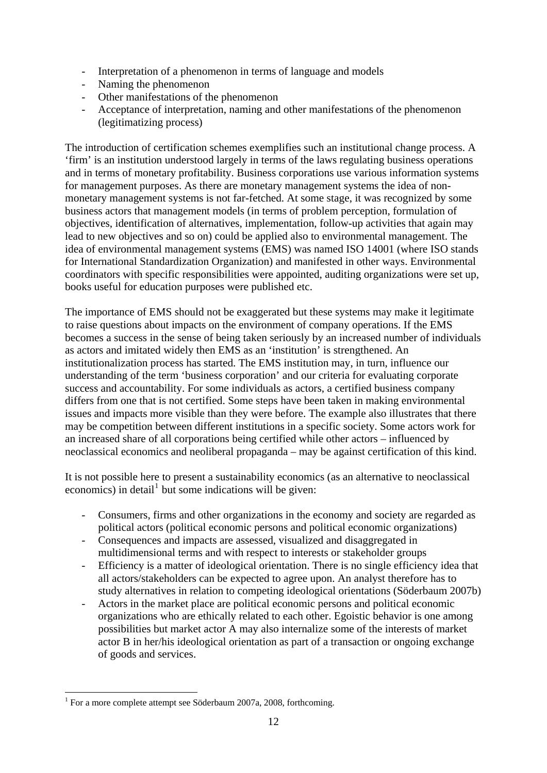- Interpretation of a phenomenon in terms of language and models
- Naming the phenomenon
- Other manifestations of the phenomenon
- Acceptance of interpretation, naming and other manifestations of the phenomenon (legitimatizing process)

The introduction of certification schemes exemplifies such an institutional change process. A 'firm' is an institution understood largely in terms of the laws regulating business operations and in terms of monetary profitability. Business corporations use various information systems for management purposes. As there are monetary management systems the idea of nonmonetary management systems is not far-fetched. At some stage, it was recognized by some business actors that management models (in terms of problem perception, formulation of objectives, identification of alternatives, implementation, follow-up activities that again may lead to new objectives and so on) could be applied also to environmental management. The idea of environmental management systems (EMS) was named ISO 14001 (where ISO stands for International Standardization Organization) and manifested in other ways. Environmental coordinators with specific responsibilities were appointed, auditing organizations were set up, books useful for education purposes were published etc.

The importance of EMS should not be exaggerated but these systems may make it legitimate to raise questions about impacts on the environment of company operations. If the EMS becomes a success in the sense of being taken seriously by an increased number of individuals as actors and imitated widely then EMS as an 'institution' is strengthened. An institutionalization process has started. The EMS institution may, in turn, influence our understanding of the term 'business corporation' and our criteria for evaluating corporate success and accountability. For some individuals as actors, a certified business company differs from one that is not certified. Some steps have been taken in making environmental issues and impacts more visible than they were before. The example also illustrates that there may be competition between different institutions in a specific society. Some actors work for an increased share of all corporations being certified while other actors – influenced by neoclassical economics and neoliberal propaganda – may be against certification of this kind.

It is not possible here to present a sustainability economics (as an alternative to neoclassical economics) in detail<sup>[1](#page-11-0)</sup> but some indications will be given:

- Consumers, firms and other organizations in the economy and society are regarded as political actors (political economic persons and political economic organizations)
- Consequences and impacts are assessed, visualized and disaggregated in multidimensional terms and with respect to interests or stakeholder groups
- Efficiency is a matter of ideological orientation. There is no single efficiency idea that all actors/stakeholders can be expected to agree upon. An analyst therefore has to study alternatives in relation to competing ideological orientations (Söderbaum 2007b)
- Actors in the market place are political economic persons and political economic organizations who are ethically related to each other. Egoistic behavior is one among possibilities but market actor A may also internalize some of the interests of market actor B in her/his ideological orientation as part of a transaction or ongoing exchange of goods and services.

1

<span id="page-11-0"></span><sup>&</sup>lt;sup>1</sup> For a more complete attempt see Söderbaum 2007a, 2008, forthcoming.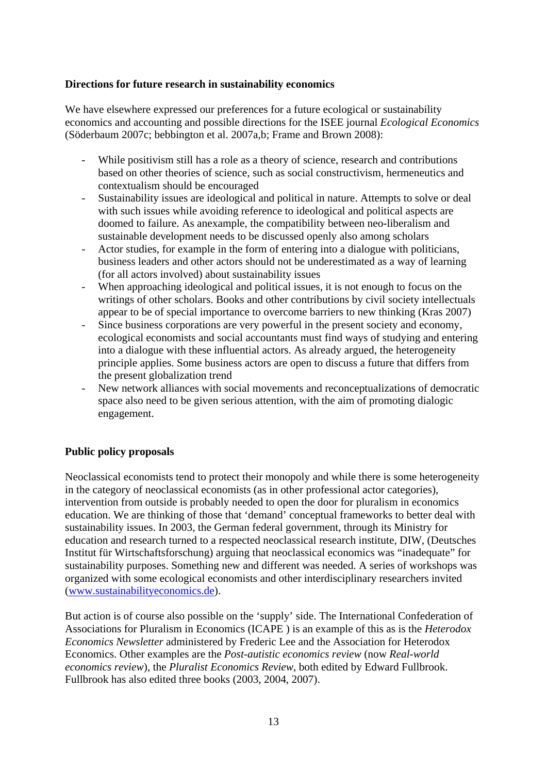## **Directions for future research in sustainability economics**

We have elsewhere expressed our preferences for a future ecological or sustainability economics and accounting and possible directions for the ISEE journal *Ecological Economics* (Söderbaum 2007c; bebbington et al. 2007a,b; Frame and Brown 2008):

- While positivism still has a role as a theory of science, research and contributions based on other theories of science, such as social constructivism, hermeneutics and contextualism should be encouraged
- Sustainability issues are ideological and political in nature. Attempts to solve or deal with such issues while avoiding reference to ideological and political aspects are doomed to failure. As anexample, the compatibility between neo-liberalism and sustainable development needs to be discussed openly also among scholars
- Actor studies, for example in the form of entering into a dialogue with politicians, business leaders and other actors should not be underestimated as a way of learning (for all actors involved) about sustainability issues
- When approaching ideological and political issues, it is not enough to focus on the writings of other scholars. Books and other contributions by civil society intellectuals appear to be of special importance to overcome barriers to new thinking (Kras 2007)
- Since business corporations are very powerful in the present society and economy, ecological economists and social accountants must find ways of studying and entering into a dialogue with these influential actors. As already argued, the heterogeneity principle applies. Some business actors are open to discuss a future that differs from the present globalization trend
- New network alliances with social movements and reconceptualizations of democratic space also need to be given serious attention, with the aim of promoting dialogic engagement.

# **Public policy proposals**

Neoclassical economists tend to protect their monopoly and while there is some heterogeneity in the category of neoclassical economists (as in other professional actor categories), intervention from outside is probably needed to open the door for pluralism in economics education. We are thinking of those that 'demand' conceptual frameworks to better deal with sustainability issues. In 2003, the German federal government, through its Ministry for education and research turned to a respected neoclassical research institute, DIW, (Deutsches Institut für Wirtschaftsforschung) arguing that neoclassical economics was "inadequate" for sustainability purposes. Something new and different was needed. A series of workshops was organized with some ecological economists and other interdisciplinary researchers invited ([www.sustainabilityeconomics.de](http://www.sustainabilityeconomics.de/)).

But action is of course also possible on the 'supply' side. The International Confederation of Associations for Pluralism in Economics (ICAPE ) is an example of this as is the *Heterodox Economics Newsletter* administered by Frederic Lee and the Association for Heterodox Economics. Other examples are the *Post-autistic economics review* (now *Real-world economics review*), the *Pluralist Economics Review*, both edited by Edward Fullbrook. Fullbrook has also edited three books (2003, 2004, 2007).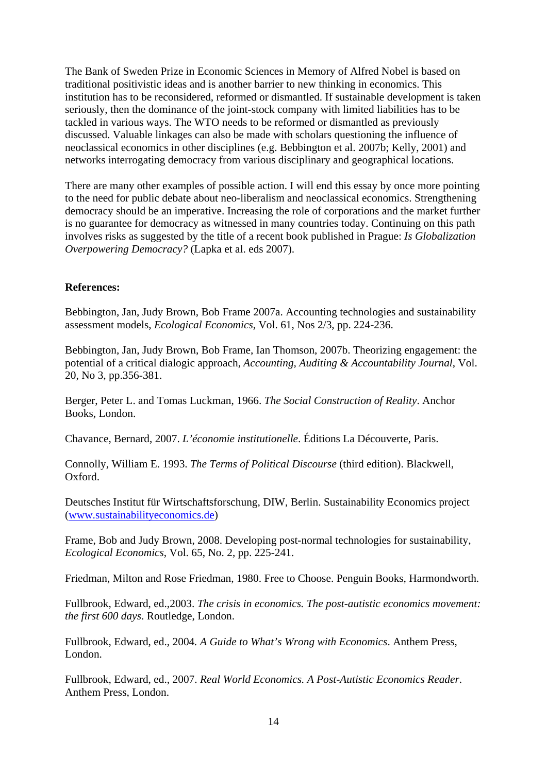The Bank of Sweden Prize in Economic Sciences in Memory of Alfred Nobel is based on traditional positivistic ideas and is another barrier to new thinking in economics. This institution has to be reconsidered, reformed or dismantled. If sustainable development is taken seriously, then the dominance of the joint-stock company with limited liabilities has to be tackled in various ways. The WTO needs to be reformed or dismantled as previously discussed. Valuable linkages can also be made with scholars questioning the influence of neoclassical economics in other disciplines (e.g. Bebbington et al. 2007b; Kelly, 2001) and networks interrogating democracy from various disciplinary and geographical locations.

There are many other examples of possible action. I will end this essay by once more pointing to the need for public debate about neo-liberalism and neoclassical economics. Strengthening democracy should be an imperative. Increasing the role of corporations and the market further is no guarantee for democracy as witnessed in many countries today. Continuing on this path involves risks as suggested by the title of a recent book published in Prague: *Is Globalization Overpowering Democracy?* (Lapka et al. eds 2007).

## **References:**

Bebbington, Jan, Judy Brown, Bob Frame 2007a. Accounting technologies and sustainability assessment models, *Ecological Economics*, Vol. 61, Nos 2/3, pp. 224-236.

Bebbington, Jan, Judy Brown, Bob Frame, Ian Thomson, 2007b. Theorizing engagement: the potential of a critical dialogic approach, *Accounting, Auditing & Accountability Journal*, Vol. 20, No 3, pp.356-381.

Berger, Peter L. and Tomas Luckman, 1966. *The Social Construction of Reality*. Anchor Books, London.

Chavance, Bernard, 2007. *L'économie institutionelle*. Éditions La Découverte, Paris.

Connolly, William E. 1993. *The Terms of Political Discourse* (third edition). Blackwell, Oxford.

Deutsches Institut für Wirtschaftsforschung, DIW, Berlin. Sustainability Economics project ([www.sustainabilityeconomics.de](http://www.sustainabilityeconomics.de/))

Frame, Bob and Judy Brown, 2008. Developing post-normal technologies for sustainability, *Ecological Economics*, Vol. 65, No. 2, pp. 225-241.

Friedman, Milton and Rose Friedman, 1980. Free to Choose. Penguin Books, Harmondworth.

Fullbrook, Edward, ed.,2003. *The crisis in economics. The post-autistic economics movement: the first 600 days*. Routledge, London.

Fullbrook, Edward, ed., 2004*. A Guide to What's Wrong with Economics*. Anthem Press, London.

Fullbrook, Edward, ed., 2007. *Real World Economics. A Post-Autistic Economics Reader*. Anthem Press, London.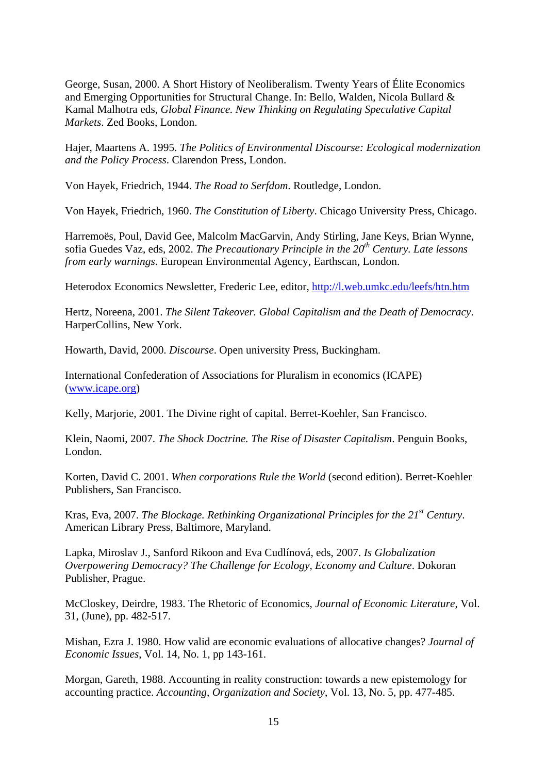George, Susan, 2000. A Short History of Neoliberalism. Twenty Years of Élite Economics and Emerging Opportunities for Structural Change. In: Bello, Walden, Nicola Bullard & Kamal Malhotra eds, *Global Finance. New Thinking on Regulating Speculative Capital Markets*. Zed Books, London.

Hajer, Maartens A. 1995. *The Politics of Environmental Discourse: Ecological modernization and the Policy Process*. Clarendon Press, London.

Von Hayek, Friedrich, 1944. *The Road to Serfdom*. Routledge, London.

Von Hayek, Friedrich, 1960. *The Constitution of Liberty*. Chicago University Press, Chicago.

Harremoës, Poul, David Gee, Malcolm MacGarvin, Andy Stirling, Jane Keys, Brian Wynne, sofia Guedes Vaz, eds, 2002. *The Precautionary Principle in the 20<sup>th</sup> Century. Late lessons from early warnings*. European Environmental Agency, Earthscan, London.

Heterodox Economics Newsletter, Frederic Lee, editor, <http://l.web.umkc.edu/leefs/htn.htm>

Hertz, Noreena, 2001. *The Silent Takeover. Global Capitalism and the Death of Democracy*. HarperCollins, New York.

Howarth, David, 2000. *Discourse*. Open university Press, Buckingham.

International Confederation of Associations for Pluralism in economics (ICAPE) ([www.icape.org](http://www.icape.org/))

Kelly, Marjorie, 2001. The Divine right of capital. Berret-Koehler, San Francisco.

Klein, Naomi, 2007. *The Shock Doctrine. The Rise of Disaster Capitalism*. Penguin Books, London.

Korten, David C. 2001. *When corporations Rule the World* (second edition). Berret-Koehler Publishers, San Francisco.

Kras, Eva, 2007. *The Blockage. Rethinking Organizational Principles for the 21st Century*. American Library Press, Baltimore, Maryland.

Lapka, Miroslav J., Sanford Rikoon and Eva Cudlínová, eds, 2007. *Is Globalization Overpowering Democracy? The Challenge for Ecology, Economy and Culture*. Dokoran Publisher, Prague.

McCloskey, Deirdre, 1983. The Rhetoric of Economics, *Journal of Economic Literature*, Vol. 31, (June), pp. 482-517.

Mishan, Ezra J. 1980. How valid are economic evaluations of allocative changes? *Journal of Economic Issues*, Vol. 14, No. 1, pp 143-161.

Morgan, Gareth, 1988. Accounting in reality construction: towards a new epistemology for accounting practice. *Accounting, Organization and Society*, Vol. 13, No. 5, pp. 477-485.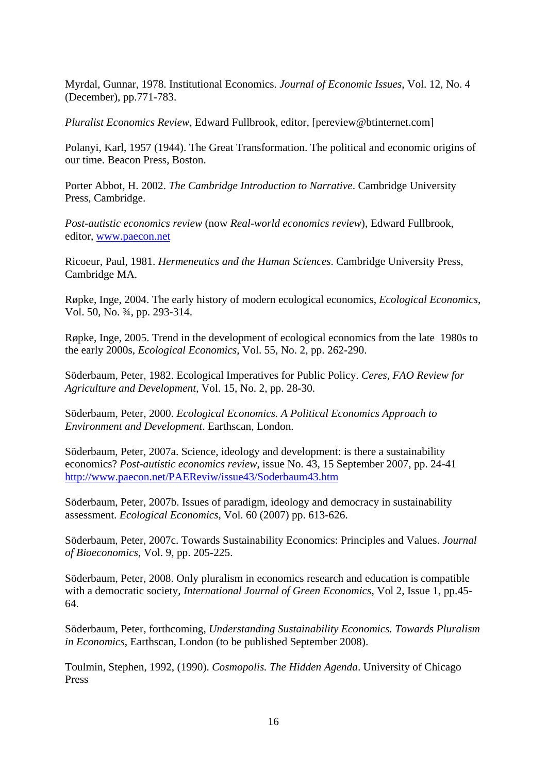Myrdal, Gunnar, 1978. Institutional Economics. *Journal of Economic Issues*, Vol. 12, No. 4 (December), pp.771-783.

*Pluralist Economics Review*, Edward Fullbrook, editor, [pereview@btinternet.com]

Polanyi, Karl, 1957 (1944). The Great Transformation. The political and economic origins of our time. Beacon Press, Boston.

Porter Abbot, H. 2002. *The Cambridge Introduction to Narrative*. Cambridge University Press, Cambridge.

*Post-autistic economics review* (now *Real-world economics review*), Edward Fullbrook, editor, [www.paecon.net](http://www.paecon.net/)

Ricoeur, Paul, 1981. *Hermeneutics and the Human Sciences*. Cambridge University Press, Cambridge MA.

Røpke, Inge, 2004. The early history of modern ecological economics, *Ecological Economics*, Vol. 50, No. ¾, pp. 293-314.

Røpke, Inge, 2005. Trend in the development of ecological economics from the late 1980s to the early 2000s, *Ecological Economics*, Vol. 55, No. 2, pp. 262-290.

Söderbaum, Peter, 1982. Ecological Imperatives for Public Policy. *Ceres, FAO Review for Agriculture and Development*, Vol. 15, No. 2, pp. 28-30.

Söderbaum, Peter, 2000. *Ecological Economics. A Political Economics Approach to Environment and Development*. Earthscan, London.

Söderbaum, Peter, 2007a. Science, ideology and development: is there a sustainability economics? *Post-autistic economics review*, issue No. 43, 15 September 2007, pp. 24-41 <http://www.paecon.net/PAEReviw/issue43/Soderbaum43.htm>

Söderbaum, Peter, 2007b. Issues of paradigm, ideology and democracy in sustainability assessment. *Ecological Economics*, Vol. 60 (2007) pp. 613-626.

Söderbaum, Peter, 2007c. Towards Sustainability Economics: Principles and Values. *Journal of Bioeconomics*, Vol. 9, pp. 205-225.

Söderbaum, Peter, 2008. Only pluralism in economics research and education is compatible with a democratic society, *International Journal of Green Economics*, Vol 2, Issue 1, pp.45- 64.

Söderbaum, Peter, forthcoming, *Understanding Sustainability Economics. Towards Pluralism in Economics*, Earthscan, London (to be published September 2008).

Toulmin, Stephen, 1992, (1990). *Cosmopolis. The Hidden Agenda*. University of Chicago Press